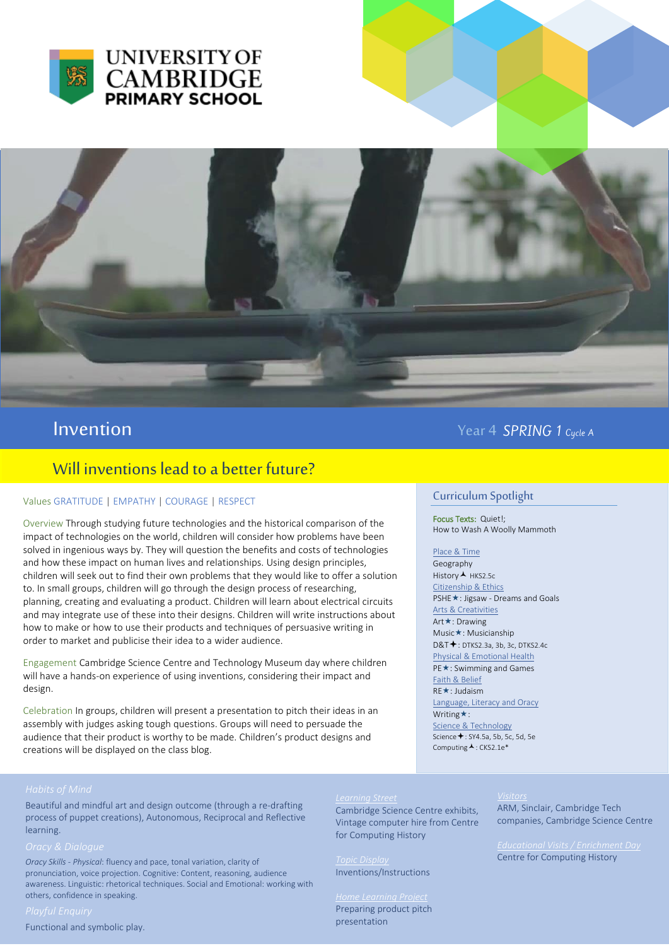



## Will inventions lead to a better future?

## Values GRATITUDE | EMPATHY | COURAGE | RESPECT

Overview Through studying future technologies and the historical comparison of the impact of technologies on the world, children will consider how problems have been solved in ingenious ways by. They will question the benefits and costs of technologies and how these impact on human lives and relationships. Using design principles, children will seek out to find their own problems that they would like to offer a solution to. In small groups, children will go through the design process of researching, planning, creating and evaluating a product. Children will learn about electrical circuits and may integrate use of these into their designs. Children will write instructions about how to make or how to use their products and techniques of persuasive writing in order to market and publicise their idea to a wider audience.

Engagement Cambridge Science Centre and Technology Museum day where children will have a hands-on experience of using inventions, considering their impact and design.

Celebration In groups, children will present a presentation to pitch their ideas in an assembly with judges asking tough questions. Groups will need to persuade the audience that their product is worthy to be made. Children's product designs and creations will be displayed on the class blog.

# **Invention** Year 4 SPRING 1 cycle A

## Curriculum Spotlight

Focus Texts: Quiet!; How to Wash A Woolly Mammoth

Place & Time Geography

History **A** HKS2.5c Citizenship & Ethics PSHE **★**: Jigsaw - Dreams and Goals Arts & Creativities Art **★**: Drawing Music\*: Musicianship D&T  $\bigstar$ : DTKS2.3a, 3b, 3c, DTKS2.4c Physical & Emotional Health PE\*: Swimming and Games Faith & Belief RE **★**: Judaism Language, Literacy and Oracy Writing  $\star$ : Science & Technology Science  $\bigstar$ : SY4.5a, 5b, 5c, 5d, 5e Computing  $\blacktriangle$ : CKS2.1e\*

Beautiful and mindful art and design outcome (through a re-drafting process of puppet creations), Autonomous, Reciprocal and Reflective learning.

*Oracy Skills - Physical*: fluency and pace, tonal variation, clarity of pronunciation, voice projection. Cognitive: Content, reasoning, audience awareness. Linguistic: rhetorical techniques. Social and Emotional: working with others, confidence in speaking.

Functional and symbolic play.

Cambridge Science Centre exhibits, Vintage computer hire from Centre for Computing History

Inventions/Instructions

*Home Learning Project*  Preparing product pitch presentation

### *Visitors*

ARM, Sinclair, Cambridge Tech companies, Cambridge Science Centre

Centre for Computing History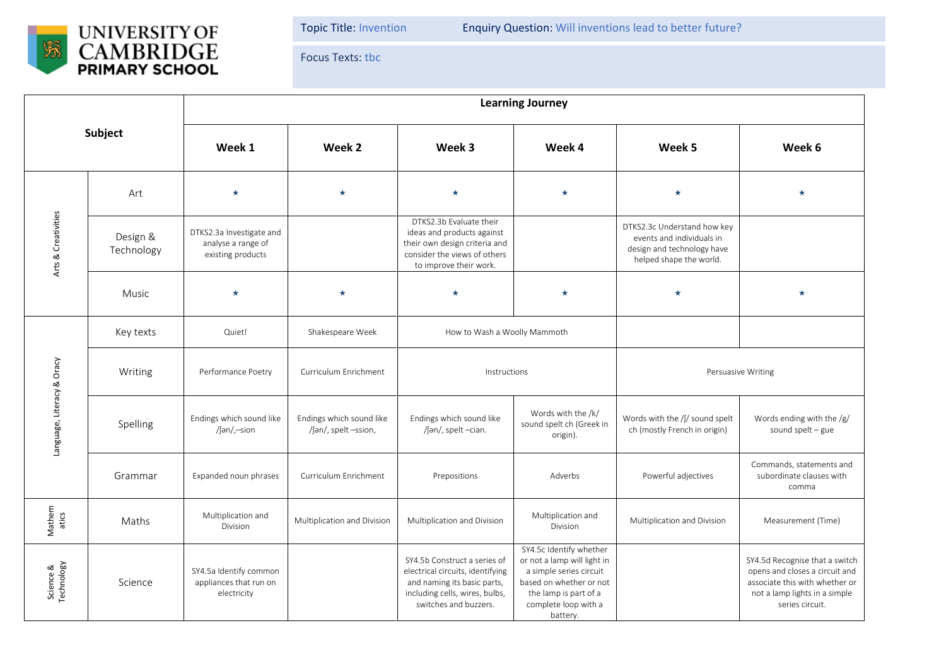

Topic Title: Invention Enquiry Question: Will inventions lead to better future?

Focus Texts: tbc

| Subject                    |                        | <b>Learning Journey</b>                                             |                                                  |                                                                                                                                                            |                                                                                                                                                                           |                                                                                                                   |                                                                                                                                                        |  |  |
|----------------------------|------------------------|---------------------------------------------------------------------|--------------------------------------------------|------------------------------------------------------------------------------------------------------------------------------------------------------------|---------------------------------------------------------------------------------------------------------------------------------------------------------------------------|-------------------------------------------------------------------------------------------------------------------|--------------------------------------------------------------------------------------------------------------------------------------------------------|--|--|
|                            |                        | Week 1                                                              | Week 2                                           | Week 3                                                                                                                                                     | Week 4                                                                                                                                                                    | Week 5                                                                                                            | Week 6                                                                                                                                                 |  |  |
| Arts & Creativities        | Art                    | $\star$                                                             | $\star$                                          | $\star$                                                                                                                                                    | $\star$                                                                                                                                                                   | $\star$                                                                                                           | $\bullet$                                                                                                                                              |  |  |
|                            | Design &<br>Technology | DTKS2.3a Investigate and<br>analyse a range of<br>existing products |                                                  | DTKS2.3b Evaluate their<br>ideas and products against<br>their own design criteria and<br>consider the views of others<br>to improve their work.           |                                                                                                                                                                           | DTKS2.3c Understand how key<br>events and individuals in<br>design and technology have<br>helped shape the world. |                                                                                                                                                        |  |  |
|                            | <b>Music</b>           | $\star$                                                             | $\star$                                          | $\star$                                                                                                                                                    | $\star$                                                                                                                                                                   | $\star$                                                                                                           | $\star$                                                                                                                                                |  |  |
| Language, Literacy & Oracy | Key texts              | Quiet!                                                              | Shakespeare Week                                 | How to Wash a Woolly Mammoth                                                                                                                               |                                                                                                                                                                           |                                                                                                                   |                                                                                                                                                        |  |  |
|                            | Writing                | Performance Poetry                                                  | Curriculum Enrichment                            | Instructions                                                                                                                                               |                                                                                                                                                                           | Persuasive Writing                                                                                                |                                                                                                                                                        |  |  |
|                            | Spelling               | Endings which sound like<br>/ $\int \tan t$ -sion                   | Endings which sound like<br>/[ən/, spelt -ssion, | Endings which sound like<br>/ʃən/, spelt -cian.                                                                                                            | Words with the /k/<br>sound spelt ch (Greek in<br>origin).                                                                                                                | Words with the /ʃ/ sound spelt<br>ch (mostly French in origin)                                                    | Words ending with the /g/<br>sound spelt $-$ gue                                                                                                       |  |  |
|                            | Grammar                | Expanded noun phrases                                               | Curriculum Enrichment                            | Prepositions                                                                                                                                               | Adverbs                                                                                                                                                                   | Powerful adjectives                                                                                               | Commands, statements and<br>subordinate clauses with<br>comma                                                                                          |  |  |
| Mathem<br>atics            | Maths                  | Multiplication and<br>Division                                      | Multiplication and Division                      | Multiplication and Division                                                                                                                                | Multiplication and<br>Division                                                                                                                                            | Multiplication and Division                                                                                       | Measurement (Time)                                                                                                                                     |  |  |
| Science &<br>Technology    | Science                | SY4.5a Identify common<br>appliances that run on<br>electricity     |                                                  | SY4.5b Construct a series of<br>electrical circuits, identifying<br>and naming its basic parts,<br>including cells, wires, bulbs,<br>switches and buzzers. | SY4.5c Identify whether<br>or not a lamp will light in<br>a simple series circuit<br>based on whether or not<br>the lamp is part of a<br>complete loop with a<br>battery. |                                                                                                                   | SY4.5d Recognise that a switch<br>opens and closes a circuit and<br>associate this with whether or<br>not a lamp lights in a simple<br>series circuit. |  |  |